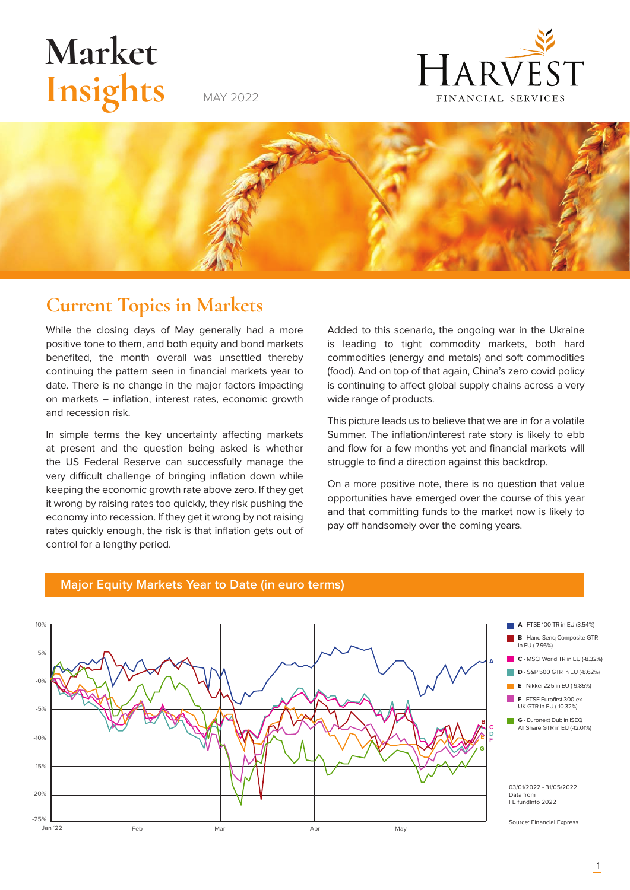# **Market** Insights





### **Current Topics in Markets**

While the closing days of May generally had a more positive tone to them, and both equity and bond markets benefited, the month overall was unsettled thereby continuing the pattern seen in financial markets year to date. There is no change in the major factors impacting on markets – inflation, interest rates, economic growth and recession risk.

In simple terms the key uncertainty affecting markets at present and the question being asked is whether the US Federal Reserve can successfully manage the very difficult challenge of bringing inflation down while keeping the economic growth rate above zero. If they get it wrong by raising rates too quickly, they risk pushing the economy into recession. If they get it wrong by not raising rates quickly enough, the risk is that inflation gets out of control for a lengthy period.

Added to this scenario, the ongoing war in the Ukraine is leading to tight commodity markets, both hard commodities (energy and metals) and soft commodities (food). And on top of that again, China's zero covid policy is continuing to affect global supply chains across a very wide range of products.

This picture leads us to believe that we are in for a volatile Summer. The inflation/interest rate story is likely to ebb and flow for a few months yet and financial markets will struggle to find a direction against this backdrop.

On a more positive note, there is no question that value opportunities have emerged over the course of this year and that committing funds to the market now is likely to pay off handsomely over the coming years.



#### **Major Equity Markets Year to Date (in euro terms)**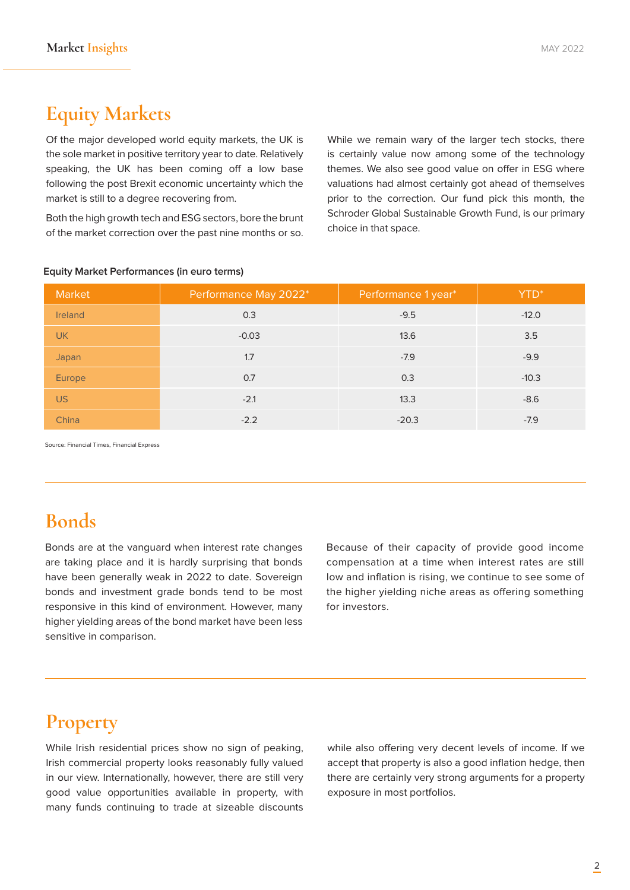## **Equity Markets**

Of the major developed world equity markets, the UK is the sole market in positive territory year to date. Relatively speaking, the UK has been coming off a low base following the post Brexit economic uncertainty which the market is still to a degree recovering from.

Both the high growth tech and ESG sectors, bore the brunt of the market correction over the past nine months or so. While we remain wary of the larger tech stocks, there is certainly value now among some of the technology themes. We also see good value on offer in ESG where valuations had almost certainly got ahead of themselves prior to the correction. Our fund pick this month, the Schroder Global Sustainable Growth Fund, is our primary choice in that space.

| Market    | Performance May 2022* | Performance 1 year* | YTD <sup>*</sup> |
|-----------|-----------------------|---------------------|------------------|
| Ireland   | 0.3                   | $-9.5$              | $-12.0$          |
| <b>UK</b> | $-0.03$               | 13.6                | 3.5              |
| Japan     | 1.7                   | $-7.9$              | $-9.9$           |
| Europe    | 0.7                   | 0.3                 | $-10.3$          |
| <b>US</b> | $-2.1$                | 13.3                | $-8.6$           |
| China     | $-2.2$                | $-20.3$             | $-7.9$           |

#### **Equity Market Performances (in euro terms)**

Source: Financial Times, Financial Express

## **Bonds**

Bonds are at the vanguard when interest rate changes are taking place and it is hardly surprising that bonds have been generally weak in 2022 to date. Sovereign bonds and investment grade bonds tend to be most responsive in this kind of environment. However, many higher yielding areas of the bond market have been less sensitive in comparison.

Because of their capacity of provide good income compensation at a time when interest rates are still low and inflation is rising, we continue to see some of the higher yielding niche areas as offering something for investors.

#### **Property**

While Irish residential prices show no sign of peaking. Irish commercial property looks reasonably fully valued in our view. Internationally, however, there are still very good value opportunities available in property, with many funds continuing to trade at sizeable discounts while also offering very decent levels of income. If we accept that property is also a good inflation hedge, then there are certainly very strong arguments for a property exposure in most portfolios.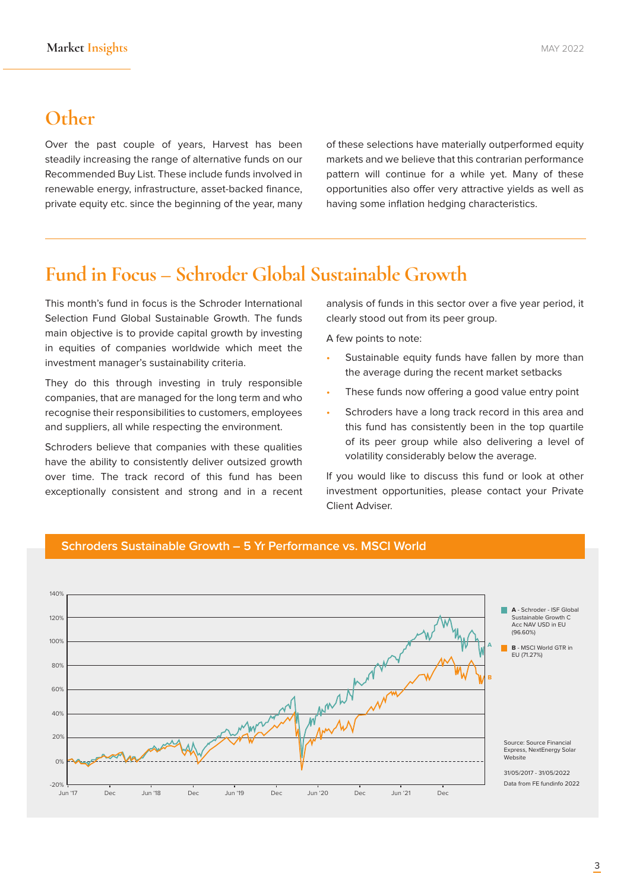#### **Other**

Over the past couple of years, Harvest has been steadily increasing the range of alternative funds on our Recommended Buy List. These include funds involved in renewable energy, infrastructure, asset-backed finance, private equity etc. since the beginning of the year, many of these selections have materially outperformed equity markets and we believe that this contrarian performance pattern will continue for a while yet. Many of these opportunities also offer very attractive yields as well as having some inflation hedging characteristics.

#### **Fund in Focus – Schroder Global Sustainable Growth**

This month's fund in focus is the Schroder International Selection Fund Global Sustainable Growth. The funds main objective is to provide capital growth by investing in equities of companies worldwide which meet the investment manager's sustainability criteria.

They do this through investing in truly responsible companies, that are managed for the long term and who recognise their responsibilities to customers, employees and suppliers, all while respecting the environment.

Schroders believe that companies with these qualities have the ability to consistently deliver outsized growth over time. The track record of this fund has been exceptionally consistent and strong and in a recent analysis of funds in this sector over a five year period, it clearly stood out from its peer group.

A few points to note:

- Sustainable equity funds have fallen by more than the average during the recent market setbacks
- These funds now offering a good value entry point
- Schroders have a long track record in this area and this fund has consistently been in the top quartile of its peer group while also delivering a level of volatility considerably below the average.

If you would like to discuss this fund or look at other investment opportunities, please contact your Private Client Adviser.